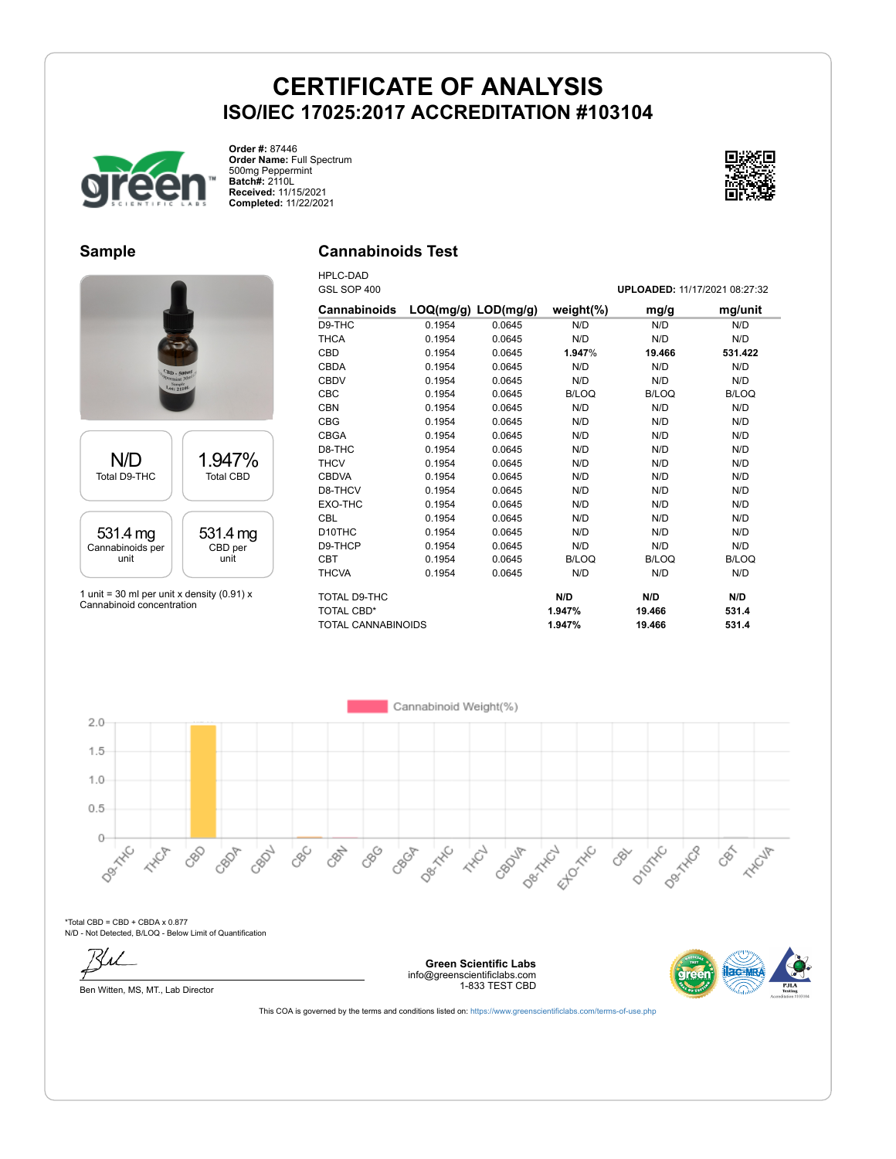

**Order #:** 87446 **Order Name:** Full Spectrum 500mg Peppermint **Batch#:** 2110L **Received:** 11/15/2021 **Completed:** 11/22/2021



#### **Sample**

### **Cannabinoids Test**

HPLC-DAD



1 unit = 30 ml per unit x density (0.91) x Cannabinoid concentration

| GSL SOP 400         |                         |        | UPLOADED: 11/17/2021 08:27:32 |              |              |
|---------------------|-------------------------|--------|-------------------------------|--------------|--------------|
| Cannabinoids        | $LOQ(mg/g)$ $LOD(mg/g)$ |        | weight $(\%)$                 | mg/g         | mg/unit      |
| D9-THC              | 0.1954                  | 0.0645 | N/D                           | N/D          | N/D          |
| <b>THCA</b>         | 0.1954                  | 0.0645 | N/D                           | N/D          | N/D          |
| <b>CBD</b>          | 0.1954                  | 0.0645 | 1.947%                        | 19.466       | 531.422      |
| <b>CBDA</b>         | 0.1954                  | 0.0645 | N/D                           | N/D          | N/D          |
| <b>CBDV</b>         | 0.1954                  | 0.0645 | N/D                           | N/D          | N/D          |
| <b>CBC</b>          | 0.1954                  | 0.0645 | <b>B/LOQ</b>                  | <b>B/LOQ</b> | <b>B/LOQ</b> |
| <b>CBN</b>          | 0.1954                  | 0.0645 | N/D                           | N/D          | N/D          |
| <b>CBG</b>          | 0.1954                  | 0.0645 | N/D                           | N/D          | N/D          |
| <b>CBGA</b>         | 0.1954                  | 0.0645 | N/D                           | N/D          | N/D          |
| D8-THC              | 0.1954                  | 0.0645 | N/D                           | N/D          | N/D          |
| <b>THCV</b>         | 0.1954                  | 0.0645 | N/D                           | N/D          | N/D          |
| <b>CBDVA</b>        | 0.1954                  | 0.0645 | N/D                           | N/D          | N/D          |
| D8-THCV             | 0.1954                  | 0.0645 | N/D                           | N/D          | N/D          |
| EXO-THC             | 0.1954                  | 0.0645 | N/D                           | N/D          | N/D          |
| <b>CBL</b>          | 0.1954                  | 0.0645 | N/D                           | N/D          | N/D          |
| D <sub>10</sub> THC | 0.1954                  | 0.0645 | N/D                           | N/D          | N/D          |
| D9-THCP             | 0.1954                  | 0.0645 | N/D                           | N/D          | N/D          |
| <b>CBT</b>          | 0.1954                  | 0.0645 | <b>B/LOQ</b>                  | B/LOQ        | B/LOQ        |
| <b>THCVA</b>        | 0.1954                  | 0.0645 | N/D                           | N/D          | N/D          |
| TOTAL D9-THC        |                         |        | N/D                           | N/D          | N/D          |
| <b>TOTAL CBD*</b>   |                         |        | 1.947%                        | 19.466       | 531.4        |
| TOTAL CANNABINOIDS  |                         |        | 1.947%                        | 19.466       | 531.4        |



\*Total CBD = CBD + CBDA x 0.877 N/D - Not Detected, B/LOQ - Below Limit of Quantification



**Green Scientific Labs** info@greenscientificlabs.com 1-833 TEST CBD

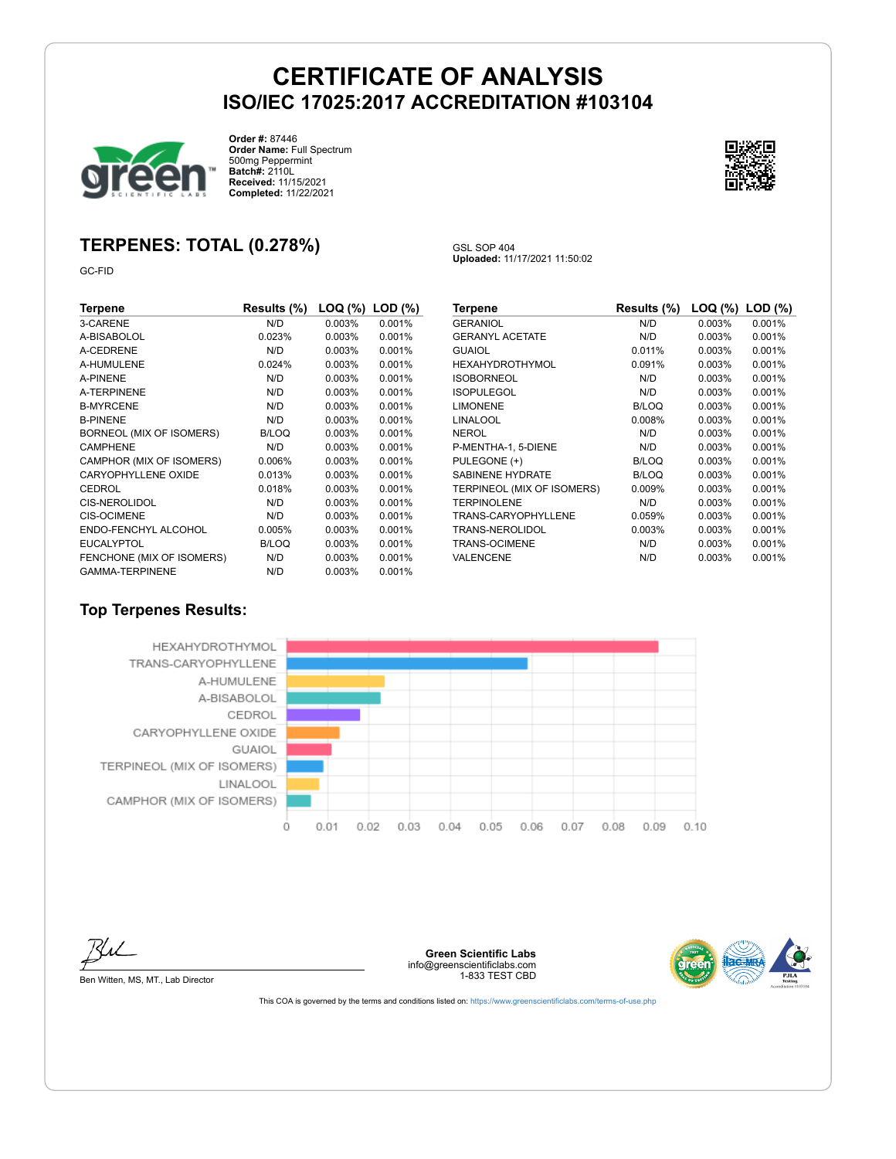GSL SOP 404

**Uploaded:** 11/17/2021 11:50:02



**Order #:** 87446 **Order Name:** Full Spectrum 500mg Peppermint **Batch#:** 2110L **Received:** 11/15/2021 **Completed:** 11/22/2021



## **TERPENES: TOTAL (0.278%)**

GC-FID

| Terpene                    | Results (%)  | LOQ (%)   | $LOD$ $(\%)$ |
|----------------------------|--------------|-----------|--------------|
| 3-CARENE                   | N/D          | 0.003%    | 0.001%       |
| A-BISABOLOL                | 0.023%       | 0.003%    | 0.001%       |
| A-CEDRENE                  | N/D          | 0.003%    | 0.001%       |
| A-HUMULENE                 | 0.024%       | $0.003\%$ | 0.001%       |
| A-PINENE                   | N/D          | $0.003\%$ | 0.001%       |
| A-TERPINENE                | N/D          | $0.003\%$ | 0.001%       |
| <b>B-MYRCENE</b>           | N/D          | $0.003\%$ | 0.001%       |
| <b>B-PINENE</b>            | N/D          | 0.003%    | 0.001%       |
| BORNEOL (MIX OF ISOMERS)   | <b>B/LOQ</b> | 0.003%    | 0.001%       |
| <b>CAMPHENE</b>            | N/D          | 0.003%    | 0.001%       |
| CAMPHOR (MIX OF ISOMERS)   | 0.006%       | 0.003%    | 0.001%       |
| <b>CARYOPHYLLENE OXIDE</b> | 0.013%       | 0.003%    | 0.001%       |
| CEDROL                     | 0.018%       | 0.003%    | 0.001%       |
| <b>CIS-NEROLIDOL</b>       | N/D          | 0.003%    | 0.001%       |
| <b>CIS-OCIMENE</b>         | N/D          | 0.003%    | 0.001%       |
| ENDO-FENCHYL ALCOHOL       | 0.005%       | 0.003%    | 0.001%       |
| <b>EUCALYPTOL</b>          | <b>B/LOQ</b> | $0.003\%$ | 0.001%       |
| FENCHONE (MIX OF ISOMERS)  | N/D          | $0.003\%$ | 0.001%       |
| <b>GAMMA-TERPINENE</b>     | N/D          | 0.003%    | 0.001%       |

| Results (%)  | LOQ (%) | $LOD$ $(\%)$ |
|--------------|---------|--------------|
| N/D          | 0.003%  | 0.001%       |
| N/D          | 0.003%  | 0.001%       |
| 0.011%       | 0.003%  | 0.001%       |
| 0.091%       | 0.003%  | 0.001%       |
| N/D          | 0.003%  | 0.001%       |
| N/D          | 0.003%  | 0.001%       |
| <b>B/LOQ</b> | 0.003%  | 0.001%       |
| 0.008%       | 0.003%  | 0.001%       |
| N/D          | 0.003%  | 0.001%       |
| N/D          | 0.003%  | 0.001%       |
| <b>B/LOQ</b> | 0.003%  | 0.001%       |
| <b>B/LOQ</b> | 0.003%  | 0.001%       |
| 0.009%       | 0.003%  | 0.001%       |
| N/D          | 0.003%  | 0.001%       |
| 0.059%       | 0.003%  | 0.001%       |
| 0.003%       | 0.003%  | 0.001%       |
| N/D          | 0.003%  | 0.001%       |
| N/D          | 0.003%  | 0.001%       |
|              |         |              |

#### **Top Terpenes Results:**





Ben Witten, MS, MT., Lab Director

**Green Scientific Labs** info@greenscientificlabs.com 1-833 TEST CBD

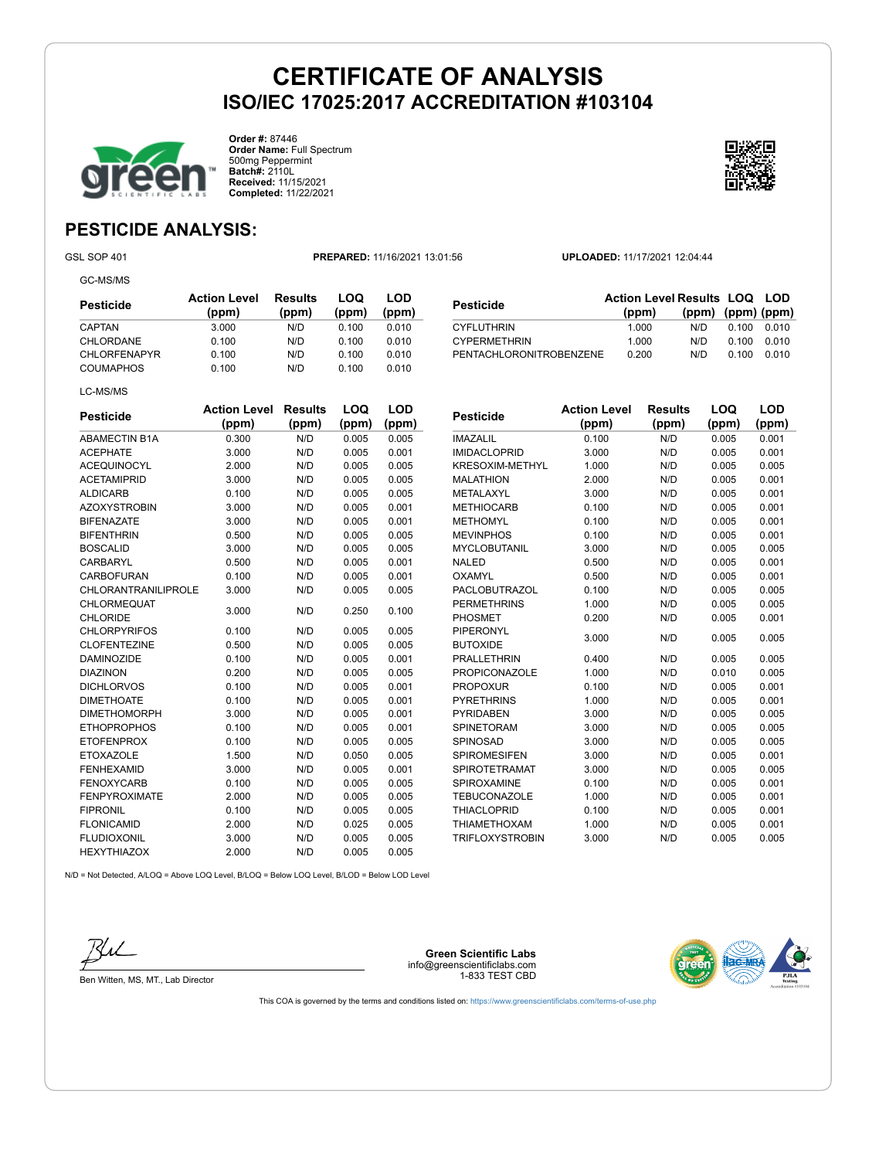CYPERMETHRIN



**Order #:** 87446 **Order Name:** Full Spectrum 500mg Peppermint **Batch#:** 2110L **Received:** 11/15/2021 **Completed:** 11/22/2021



**(ppm) (ppm) (ppm)**

## **PESTICIDE ANALYSIS:**

GC-MS/MS

GSL SOP 401 **PREPARED:** 11/16/2021 13:01:56 **UPLOADED:** 11/17/2021 12:04:44

**Pesticide Action Level Results LOQ LOD (ppm)**

THE CYFLUTHRIN 1.000 N/D 0.100 0.010<br>CYPERMETHRIN 1.000 N/D 0.100 0.010

PENTACHLORONITROBENZENE 0.200 N/D 0.100 0.010

| Pesticide           | <b>Action Level</b><br>(ppm) | Results<br>(ppm) | LOQ<br>(ppm) | LOD<br>(ppm) |
|---------------------|------------------------------|------------------|--------------|--------------|
| CAPTAN              | 3.000                        | N/D              | 0.100        | 0.010        |
| CHLORDANE           | 0.100                        | N/D              | 0.100        | 0.010        |
| <b>CHLORFENAPYR</b> | 0.100                        | N/D              | 0.100        | 0.010        |
| <b>COUMAPHOS</b>    | 0.100                        | N/D              | 0.100        | 0.010        |
| LC-MS/MS            |                              |                  |              |              |

| <b>Pesticide</b>     | <b>Action Level</b><br>(ppm) | <b>Results</b><br>(ppm) | LOQ<br>(ppm) | LOD<br>(ppm) |
|----------------------|------------------------------|-------------------------|--------------|--------------|
| <b>ABAMECTIN B1A</b> | 0.300                        | N/D                     | 0.005        | 0.005        |
| <b>ACEPHATE</b>      | 3.000                        | N/D                     | 0.005        | 0.001        |
| <b>ACEQUINOCYL</b>   | 2.000                        | N/D                     | 0.005        | 0.005        |
| <b>ACETAMIPRID</b>   | 3.000                        | N/D                     | 0.005        | 0.005        |
| <b>ALDICARB</b>      | 0.100                        | N/D                     | 0.005        | 0.005        |
| <b>AZOXYSTROBIN</b>  | 3.000                        | N/D                     | 0.005        | 0.001        |
| <b>BIFENAZATE</b>    | 3.000                        | N/D                     | 0.005        | 0.001        |
| <b>BIFENTHRIN</b>    | 0.500                        | N/D                     | 0.005        | 0.005        |
| <b>BOSCALID</b>      | 3.000                        | N/D                     | 0.005        | 0.005        |
| CARBARYL             | 0.500                        | N/D                     | 0.005        | 0.001        |
| CARBOFURAN           | 0.100                        | N/D                     | 0.005        | 0.001        |
| CHLORANTRANILIPROLE  | 3.000                        | N/D                     | 0.005        | 0.005        |
| CHLORMEQUAT          | 3.000                        | N/D                     | 0.250        | 0.100        |
| <b>CHLORIDE</b>      |                              |                         |              |              |
| <b>CHLORPYRIFOS</b>  | 0.100                        | N/D                     | 0.005        | 0.005        |
| <b>CLOFENTEZINE</b>  | 0.500                        | N/D                     | 0.005        | 0.005        |
| <b>DAMINOZIDE</b>    | 0.100                        | N/D                     | 0.005        | 0.001        |
| <b>DIAZINON</b>      | 0.200                        | N/D                     | 0.005        | 0.005        |
| <b>DICHLORVOS</b>    | 0.100                        | N/D                     | 0.005        | 0.001        |
| <b>DIMETHOATE</b>    | 0.100                        | N/D                     | 0.005        | 0.001        |
| <b>DIMETHOMORPH</b>  | 3.000                        | N/D                     | 0.005        | 0.001        |
| <b>ETHOPROPHOS</b>   | 0.100                        | N/D                     | 0.005        | 0.001        |
| <b>ETOFENPROX</b>    | 0.100                        | N/D                     | 0.005        | 0.005        |
| <b>ETOXAZOLE</b>     | 1.500                        | N/D                     | 0.050        | 0.005        |
| <b>FENHEXAMID</b>    | 3.000                        | N/D                     | 0.005        | 0.001        |
| <b>FENOXYCARB</b>    | 0.100                        | N/D                     | 0.005        | 0.005        |
| <b>FENPYROXIMATE</b> | 2.000                        | N/D                     | 0.005        | 0.005        |
| <b>FIPRONIL</b>      | 0.100                        | N/D                     | 0.005        | 0.005        |
| <b>FLONICAMID</b>    | 2.000                        | N/D                     | 0.025        | 0.005        |
| <b>FLUDIOXONIL</b>   | 3.000                        | N/D                     | 0.005        | 0.005        |
| <b>HEXYTHIAZOX</b>   | 2.000                        | N/D                     | 0.005        | 0.005        |

| Pesticide            | <b>Action Level</b><br>(ppm) | <b>Results</b><br>(ppm) | LOQ<br>(ppm) | <b>LOD</b><br>(ppm) |
|----------------------|------------------------------|-------------------------|--------------|---------------------|
| IMAZALIL             | 0.100                        | N/D                     | 0.005        | 0.001               |
| <b>IMIDACLOPRID</b>  | 3.000                        | N/D                     | 0.005        | 0.001               |
| KRESOXIM-METHYL      | 1.000                        | N/D                     | 0.005        | 0.005               |
| <b>MALATHION</b>     | 2.000                        | N/D                     | 0.005        | 0.001               |
| METALAXYL            | 3.000                        | N/D                     | 0.005        | 0.001               |
| <b>METHIOCARB</b>    | 0.100                        | N/D                     | 0.005        | 0.001               |
| <b>METHOMYL</b>      | 0.100                        | N/D                     | 0.005        | 0.001               |
| <b>MEVINPHOS</b>     | 0.100                        | N/D                     | 0.005        | 0.001               |
| <b>MYCLOBUTANIL</b>  | 3.000                        | N/D                     | 0.005        | 0.005               |
| <b>NALED</b>         | 0.500                        | N/D                     | 0.005        | 0.001               |
| OXAMYL               | 0.500                        | N/D                     | 0.005        | 0.001               |
| <b>PACLOBUTRAZOL</b> | 0.100                        | N/D                     | 0.005        | 0.005               |
| <b>PERMETHRINS</b>   | 1.000                        | N/D                     | 0.005        | 0.005               |
| PHOSMET              | 0.200                        | N/D                     | 0.005        | 0.001               |
| <b>PIPERONYL</b>     | 3.000                        | N/D                     | 0.005        | 0.005               |
| <b>BUTOXIDE</b>      |                              |                         |              |                     |
| <b>PRALLETHRIN</b>   | 0.400                        | N/D                     | 0.005        | 0.005               |
| <b>PROPICONAZOLE</b> | 1.000                        | N/D                     | 0.010        | 0.005               |
| <b>PROPOXUR</b>      | 0.100                        | N/D                     | 0.005        | 0.001               |
| <b>PYRETHRINS</b>    | 1.000                        | N/D                     | 0.005        | 0.001               |
| <b>PYRIDABEN</b>     | 3.000                        | N/D                     | 0.005        | 0.005               |
| SPINETORAM           | 3.000                        | N/D                     | 0.005        | 0.005               |
| <b>SPINOSAD</b>      | 3.000                        | N/D                     | 0.005        | 0.005               |
| <b>SPIROMESIFEN</b>  | 3.000                        | N/D                     | 0.005        | 0.001               |
| SPIROTETRAMAT        | 3.000                        | N/D                     | 0.005        | 0.005               |
| <b>SPIROXAMINE</b>   | 0.100                        | N/D                     | 0.005        | 0.001               |
| <b>TEBUCONAZOLE</b>  | 1.000                        | N/D                     | 0.005        | 0.001               |
| <b>THIACLOPRID</b>   | 0.100                        | N/D                     | 0.005        | 0.001               |
| <b>THIAMETHOXAM</b>  | 1.000                        | N/D                     | 0.005        | 0.001               |
| TRIFLOXYSTROBIN      | 3.000                        | N/D                     | 0.005        | 0.005               |

N/D = Not Detected, A/LOQ = Above LOQ Level, B/LOQ = Below LOQ Level, B/LOD = Below LOD Level



Ben Witten, MS, MT., Lab Director

**Green Scientific Labs** info@greenscientificlabs.com 1-833 TEST CBD

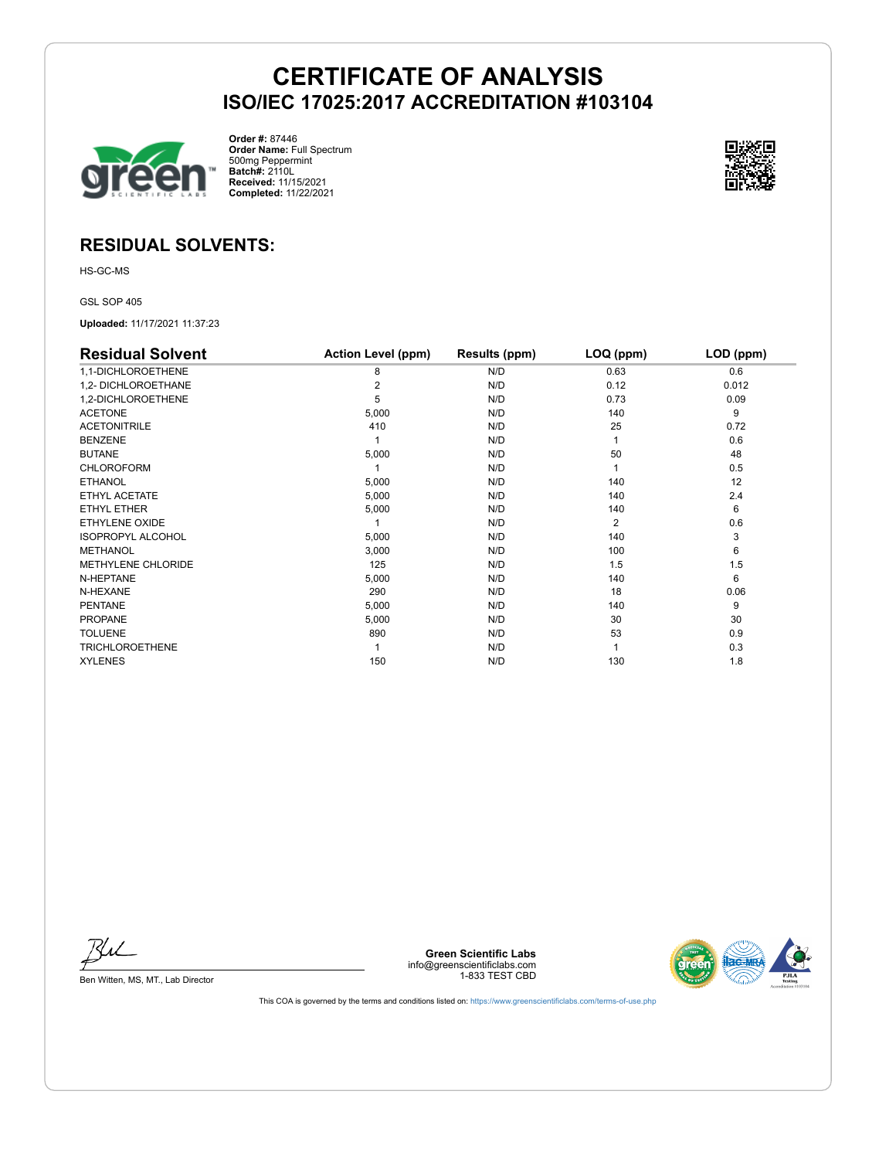

**Order #:** 87446 **Order Name:** Full Spectrum 500mg Peppermint **Batch#:** 2110L **Received:** 11/15/2021 **Completed:** 11/22/2021



### **RESIDUAL SOLVENTS:**

HS-GC-MS

GSL SOP 405

**Uploaded:** 11/17/2021 11:37:23

| <b>Residual Solvent</b>   | <b>Action Level (ppm)</b> | Results (ppm) | LOQ (ppm) | LOD (ppm) |
|---------------------------|---------------------------|---------------|-----------|-----------|
| 1,1-DICHLOROETHENE        | 8                         | N/D           | 0.63      | 0.6       |
| 1,2- DICHLOROETHANE       | 2                         | N/D           | 0.12      | 0.012     |
| 1,2-DICHLOROETHENE        | 5                         | N/D           | 0.73      | 0.09      |
| <b>ACETONE</b>            | 5,000                     | N/D           | 140       | 9         |
| <b>ACETONITRILE</b>       | 410                       | N/D           | 25        | 0.72      |
| <b>BENZENE</b>            |                           | N/D           |           | 0.6       |
| <b>BUTANE</b>             | 5,000                     | N/D           | 50        | 48        |
| <b>CHLOROFORM</b>         |                           | N/D           |           | 0.5       |
| <b>ETHANOL</b>            | 5,000                     | N/D           | 140       | 12        |
| ETHYL ACETATE             | 5,000                     | N/D           | 140       | 2.4       |
| ETHYL ETHER               | 5,000                     | N/D           | 140       | 6         |
| ETHYLENE OXIDE            |                           | N/D           | 2         | 0.6       |
| <b>ISOPROPYL ALCOHOL</b>  | 5,000                     | N/D           | 140       | 3         |
| <b>METHANOL</b>           | 3,000                     | N/D           | 100       | 6         |
| <b>METHYLENE CHLORIDE</b> | 125                       | N/D           | 1.5       | 1.5       |
| N-HEPTANE                 | 5,000                     | N/D           | 140       | 6         |
| N-HEXANE                  | 290                       | N/D           | 18        | 0.06      |
| <b>PENTANE</b>            | 5,000                     | N/D           | 140       | 9         |
| <b>PROPANE</b>            | 5,000                     | N/D           | 30        | 30        |
| <b>TOLUENE</b>            | 890                       | N/D           | 53        | 0.9       |
| <b>TRICHLOROETHENE</b>    |                           | N/D           |           | 0.3       |
| <b>XYLENES</b>            | 150                       | N/D           | 130       | 1.8       |

BU

Ben Witten, MS, MT., Lab Director

**Green Scientific Labs** info@greenscientificlabs.com 1-833 TEST CBD

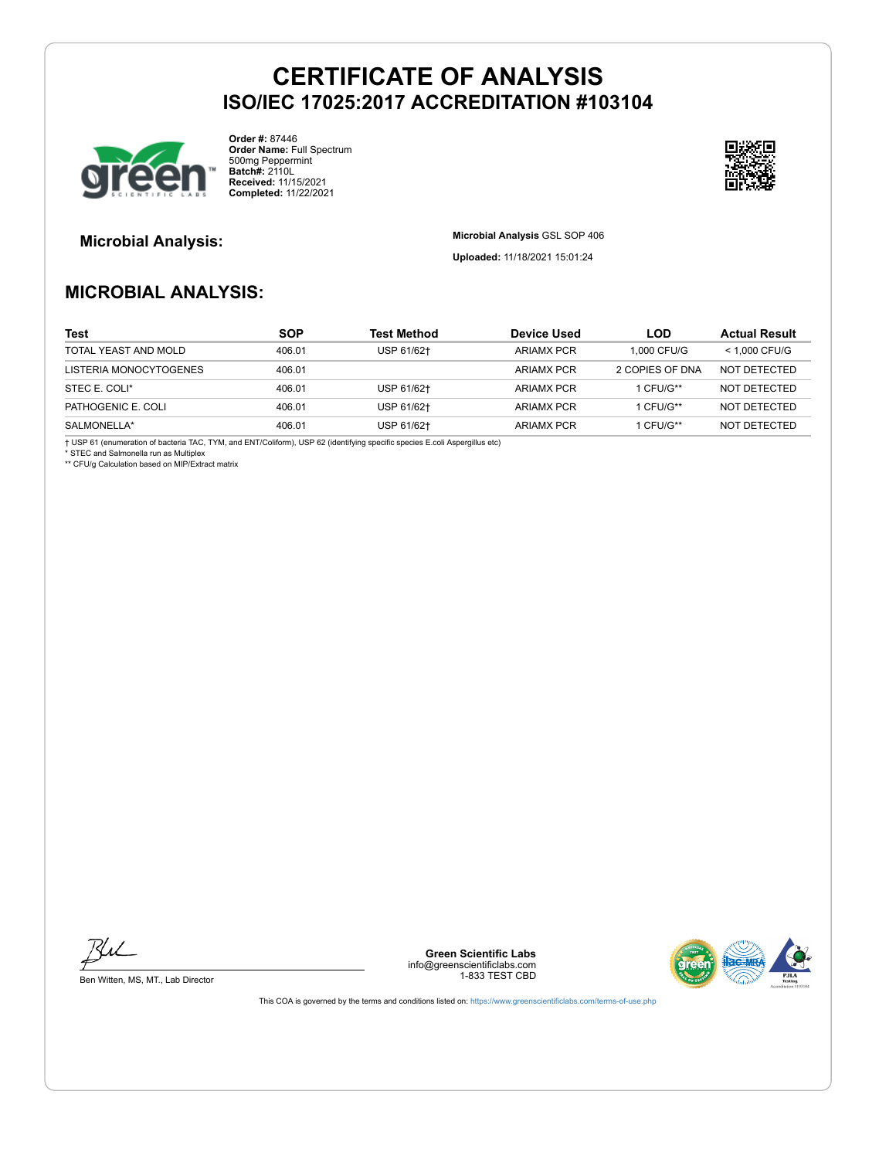

**Order #:** 87446 **Order Name:** Full Spectrum 500mg Peppermint **Batch#:** 2110L **Received:** 11/15/2021 **Completed:** 11/22/2021



**Microbial Analysis: Microbial Analysis** GSL SOP 406

**Uploaded:** 11/18/2021 15:01:24

## **MICROBIAL ANALYSIS:**

| <b>Test</b>            | <b>SOP</b> | <b>Test Method</b> | Device Used       | LOD             | <b>Actual Result</b> |
|------------------------|------------|--------------------|-------------------|-----------------|----------------------|
| TOTAL YEAST AND MOLD   | 406.01     | USP 61/62†         | <b>ARIAMX PCR</b> | 1.000 CFU/G     | $<$ 1.000 CFU/G      |
| LISTERIA MONOCYTOGENES | 406.01     |                    | <b>ARIAMX PCR</b> | 2 COPIES OF DNA | NOT DETECTED         |
| STEC E. COLI*          | 406.01     | USP 61/62+         | <b>ARIAMX PCR</b> | 1 CFU/G**       | NOT DETECTED         |
| PATHOGENIC E. COLI     | 406.01     | USP 61/62+         | <b>ARIAMX PCR</b> | 1 CFU/G**       | NOT DETECTED         |
| SALMONELLA*            | 406.01     | USP 61/62+         | <b>ARIAMX PCR</b> | 1 CFU/G**       | NOT DETECTED         |

† USP 61 (enumeration of bacteria TAC, TYM, and ENT/Coliform), USP 62 (identifying specific species E.coli Aspergillus etc) \* STEC and Salmonella run as Multiplex

\*\* CFU/g Calculation based on MIP/Extract matrix



Ben Witten, MS, MT., Lab Director

**Green Scientific Labs** info@greenscientificlabs.com 1-833 TEST CBD